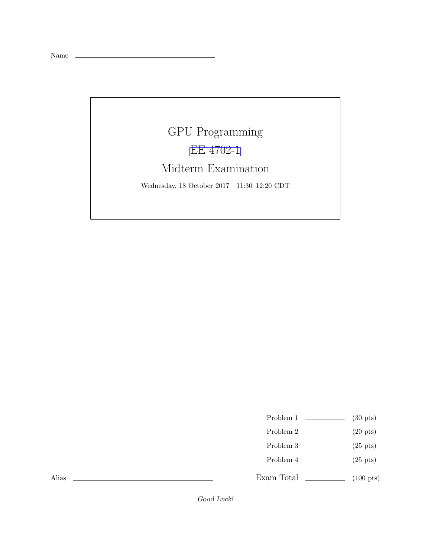Name \_\_

## GPU Programming [EE 4702-1](http://www.ece.lsu.edu/koppel/gpup/) Midterm Examination Wednesday, 18 October 2017 11:30–12:20 CDT

- Problem 1  $\qquad \qquad$  (30 pts)
- Problem 2  $\qquad \qquad$  (20 pts)
- Problem 3  $\qquad \qquad$  (25 pts)
- Problem 4  $\qquad \qquad (25 \text{ pts})$
- Exam Total \_\_\_\_\_\_\_\_\_\_\_\_\_\_ (100 pts)

Alias

Good Luck!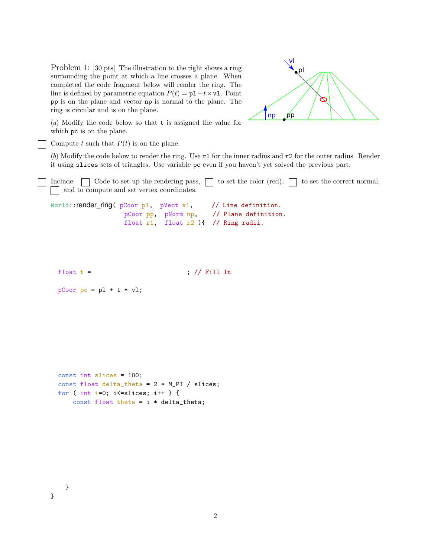Problem 1: [30 pts] The illustration to the right shows a ring surrounding the point at which a line crosses a plane. When completed the code fragment below will render the ring. The line is defined by parametric equation  $P(t) = p1 + t \times v1$ . Point pp is on the plane and vector np is normal to the plane. The ring is circular and is on the plane.

pl  $|np - pp|$ vl

(*a*) Modify the code below so that t is assigned the value for which pc is on the plane.

Compute t such that  $P(t)$  is on the plane.

(*b*) Modify the code below to render the ring. Use r1 for the inner radius and r2 for the outer radius. Render it using slices sets of triangles. Use variable pc even if you haven't yet solved the previous part.

Include:  $\Box$  Code to set up the rendering pass,  $\Box$  to set the color (red),  $\Box$  to set the correct normal, and to compute and set vertex coordinates.

```
World::render_ring( pCoor pl, pVect vl, // Line definition.
                  pCoor pp, pNorm np, // Plane definition.
                  float r1, float r2 ){ // Ring radii.
```
float  $t =$  ; // Fill In

```
pCoor pc = pl + t * vl;
```

```
const int slices = 100;
const float delta_theta = 2 * M_PI / slices;
for ( int i=0; i <= slices; i ++ ) {
    const float theta = i * delta_{t}
```
}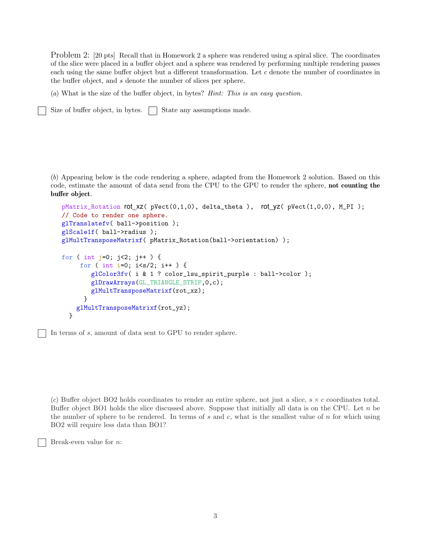Problem 2: [20 pts] Recall that in Homework 2 a sphere was rendered using a spiral slice. The coordinates of the slice were placed in a buffer object and a sphere was rendered by performing multiple rendering passes each using the same buffer object but a different transformation. Let c denote the number of coordinates in the buffer object, and s denote the number of slices per sphere.

(*a*) What is the size of the buffer object, in bytes? *Hint: This is an easy question.*

Size of buffer object, in bytes.  $\Box$  State any assumptions made.

(*b*) Appearing below is the code rendering a sphere, adapted from the Homework 2 solution. Based on this code, estimate the amount of data send from the CPU to the GPU to render the sphere, not counting the buffer object.

```
pMatrix_Rotation rot_xz( pVect(0,1,0), delta_theta ), rot_yz( pVect(1,0,0), M_PI );
// Code to render one sphere.
glTranslatefv( ball->position );
glScale1f( ball->radius );
glMultTransposeMatrixf( pMatrix_Rotation(ball->orientation) );
for ( int j=0; j<2; j++ ) {
     for ( int i=0; i<s/2; i++ ) {
        glColor3fv( i & 1 ? color_lsu_spirit_purple : ball->color );
        glDrawArrays(GL_TRIANGLE_STRIP,0,c);
        glMultTransposeMatrixf(rot_xz);
      }
    glMultTransposeMatrixf(rot_yz);
  }
```
In terms of s, amount of data sent to GPU to render sphere.

 $(c)$  Buffer object BO2 holds coordinates to render an entire sphere, not just a slice,  $s \times c$  coordinates total. Buffer object BO1 holds the slice discussed above. Suppose that initially all data is on the CPU. Let  $n$  be the number of sphere to be rendered. In terms of s and c, what is the smallest value of  $n$  for which using BO2 will require less data than BO1?

Break-even value for n: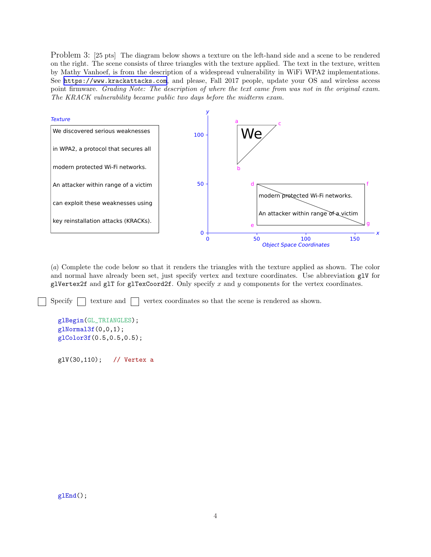Problem 3: [25 pts] The diagram below shows a texture on the left-hand side and a scene to be rendered on the right. The scene consists of three triangles with the texture applied. The text in the texture, written by Mathy Vanhoef, is from the description of a widespread vulnerability in WiFi WPA2 implementations. See <https://www.krackattacks.com>, and please, Fall 2017 people, update your OS and wireless access point firmware. *Grading Note: The description of where the text came from was not in the original exam. The KRACK vulnerability became public two days before the midterm exam.*



(*a*) Complete the code below so that it renders the triangles with the texture applied as shown. The color and normal have already been set, just specify vertex and texture coordinates. Use abbreviation glV for glVertex2f and glT for glTexCoord2f. Only specify  $x$  and  $y$  components for the vertex coordinates.

Specify  $\Box$  texture and  $\Box$  vertex coordinates so that the scene is rendered as shown.

```
glBegin(GL_TRIANGLES);
glNormal3f(0,0,1);
glColor3f(0.5,0.5,0.5);
```

```
glV(30,110); // Vertex a
```
glEnd();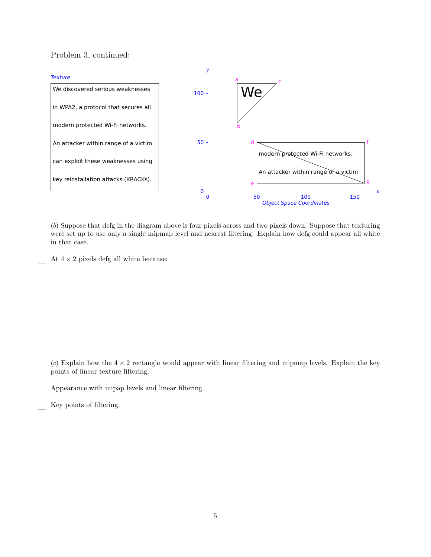Problem 3, continued:



(*b*) Suppose that defg in the diagram above is four pixels across and two pixels down. Suppose that texturing were set up to use only a single mipmap level and nearest filtering. Explain how defg could appear all white in that case.

At  $4 \times 2$  pixels defg all white because:

 $(c)$  Explain how the  $4 \times 2$  rectangle would appear with linear filtering and mipmap levels. Explain the key points of linear texture filtering.

Appearance with mipap levels and linear filtering.

Key points of filtering.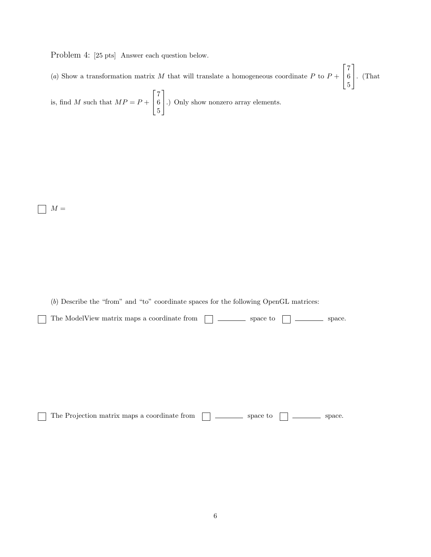Problem 4: [25 pts] Answer each question below.

(a) Show a transformation matrix M that will translate a homogeneous coordinate P to  $P +$  $\sqrt{ }$  $\overline{1}$ 7 6 5 1  $\cdot$  (That  $\sqrt{ }$ 1

is, find M such that  $MP = P +$  $\overline{\phantom{a}}$ 7 6 5 .) Only show nonzero array elements.

 $M =$ 

(*b*) Describe the "from" and "to" coordinate spaces for the following OpenGL matrices:

| $\Box$ The ModelView matrix maps a coordinate from $\Box$ space to $\Box$ space. |  |  |
|----------------------------------------------------------------------------------|--|--|
|                                                                                  |  |  |

The Projection matrix maps a coordinate from space to space.